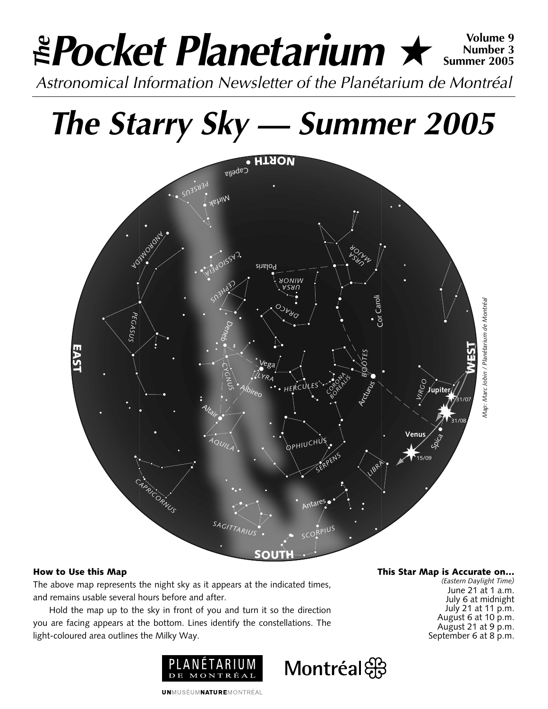# *Pocket Planetarium* ★ **Volume 9** *Astronomical Information Newsletter of the Planétarium de Montréal The* **Number 3 Summer 2005**

# *The Starry Sky — Summer 2005*



Montréal

## **How to Use this Map**

The above map represents the night sky as it appears at the indicated times, and remains usable several hours before and after.

Hold the map up to the sky in front of you and turn it so the direction you are facing appears at the bottom. Lines identify the constellations. The light-coloured area outlines the Milky Way.



**This Star Map is Accurate on…**

*(Eastern Daylight Time)* June 21 at 1 a.m. July 6 at midnight July 21 at 11 p.m. August 6 at 10 p.m. August 21 at 9  $p.m.$ September 6 at 8 p.m.

**UNMUSÉUMNATUREMONTRÉAL**